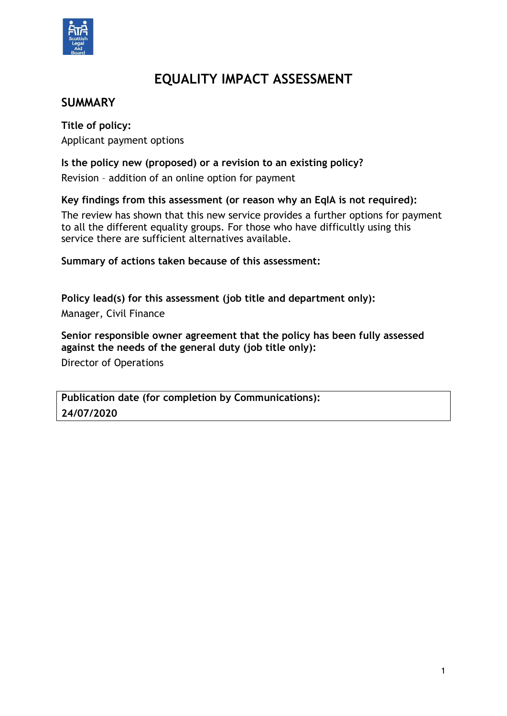

# **EQUALITY IMPACT ASSESSMENT**

# **SUMMARY**

**Title of policy:** Applicant payment options

**Is the policy new (proposed) or a revision to an existing policy?** 

Revision – addition of an online option for payment

**Key findings from this assessment (or reason why an EqIA is not required):**

The review has shown that this new service provides a further options for payment to all the different equality groups. For those who have difficultly using this service there are sufficient alternatives available.

**Summary of actions taken because of this assessment:**

**Policy lead(s) for this assessment (job title and department only):** Manager, Civil Finance

**Senior responsible owner agreement that the policy has been fully assessed against the needs of the general duty (job title only):** Director of Operations

**Publication date (for completion by Communications): 24/07/2020**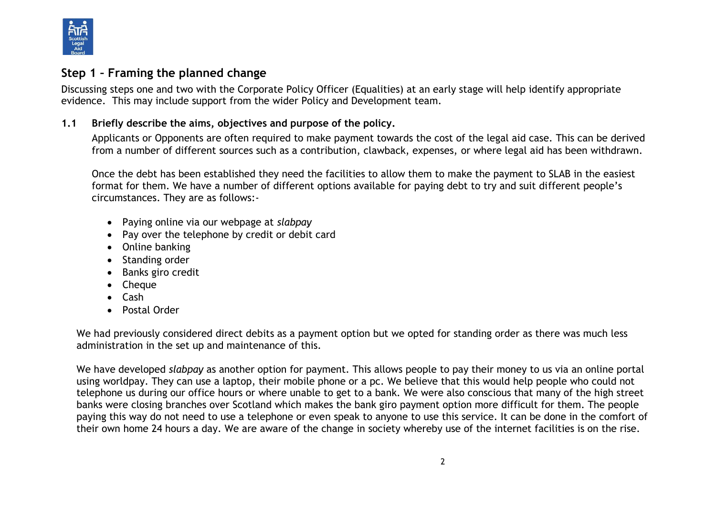

### **Step 1 – Framing the planned change**

Discussing steps one and two with the Corporate Policy Officer (Equalities) at an early stage will help identify appropriate evidence. This may include support from the wider Policy and Development team.

#### **1.1 Briefly describe the aims, objectives and purpose of the policy.**

Applicants or Opponents are often required to make payment towards the cost of the legal aid case. This can be derived from a number of different sources such as a contribution, clawback, expenses, or where legal aid has been withdrawn.

Once the debt has been established they need the facilities to allow them to make the payment to SLAB in the easiest format for them. We have a number of different options available for paying debt to try and suit different people's circumstances. They are as follows:-

- Paying online via our webpage at *slabpay*
- Pay over the telephone by credit or debit card
- Online banking
- Standing order
- Banks giro credit
- Cheque
- Cash
- Postal Order

We had previously considered direct debits as a payment option but we opted for standing order as there was much less administration in the set up and maintenance of this.

We have developed *slabpay* as another option for payment. This allows people to pay their money to us via an online portal using worldpay. They can use a laptop, their mobile phone or a pc. We believe that this would help people who could not telephone us during our office hours or where unable to get to a bank. We were also conscious that many of the high street banks were closing branches over Scotland which makes the bank giro payment option more difficult for them. The people paying this way do not need to use a telephone or even speak to anyone to use this service. It can be done in the comfort of their own home 24 hours a day. We are aware of the change in society whereby use of the internet facilities is on the rise.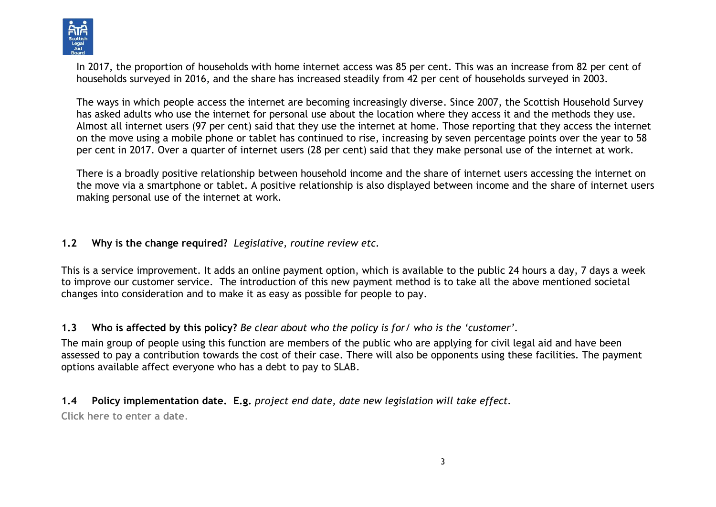

In 2017, the proportion of households with home internet access was 85 per cent. This was an increase from 82 per cent of households surveyed in 2016, and the share has increased steadily from 42 per cent of households surveyed in 2003.

The ways in which people access the internet are becoming increasingly diverse. Since 2007, the Scottish Household Survey has asked adults who use the internet for personal use about the location where they access it and the methods they use. Almost all internet users (97 per cent) said that they use the internet at home. Those reporting that they access the internet on the move using a mobile phone or tablet has continued to rise, increasing by seven percentage points over the year to 58 per cent in 2017. Over a quarter of internet users (28 per cent) said that they make personal use of the internet at work.

There is a broadly positive relationship between household income and the share of internet users accessing the internet on the move via a smartphone or tablet. A positive relationship is also displayed between income and the share of internet users making personal use of the internet at work.

#### **1.2 Why is the change required?** *Legislative, routine review etc.*

This is a service improvement. It adds an online payment option, which is available to the public 24 hours a day, 7 days a week to improve our customer service. The introduction of this new payment method is to take all the above mentioned societal changes into consideration and to make it as easy as possible for people to pay.

**1.3 Who is affected by this policy?** *Be clear about who the policy is for/ who is the 'customer'.*

The main group of people using this function are members of the public who are applying for civil legal aid and have been assessed to pay a contribution towards the cost of their case. There will also be opponents using these facilities. The payment options available affect everyone who has a debt to pay to SLAB.

**1.4 Policy implementation date. E.g.** *project end date, date new legislation will take effect.* **Click here to enter a date**.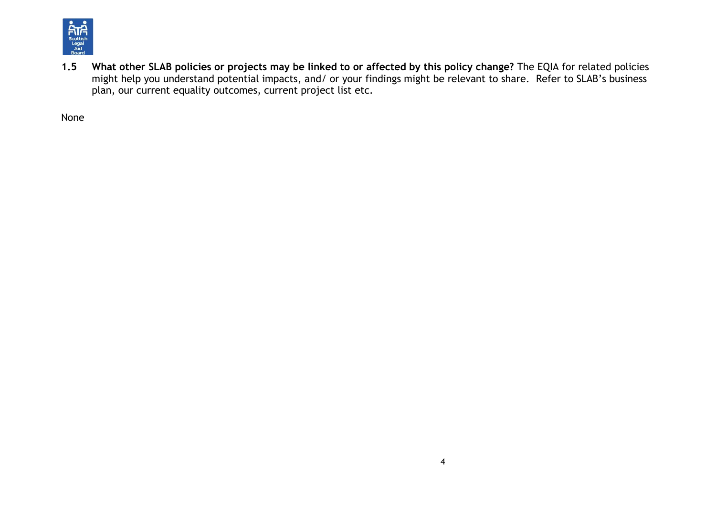

**1.5 What other SLAB policies or projects may be linked to or affected by this policy change?** The EQIA for related policies might help you understand potential impacts, and/ or your findings might be relevant to share. Refer to SLAB's business plan, our current equality outcomes, current project list etc.

None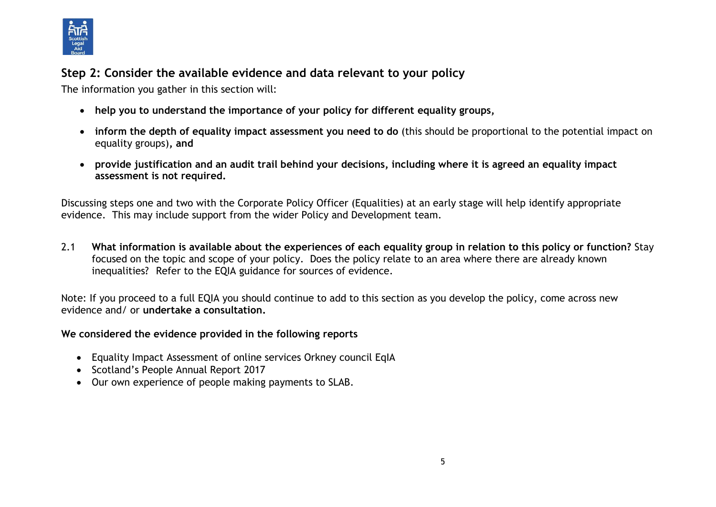

# **Step 2: Consider the available evidence and data relevant to your policy**

The information you gather in this section will:

- **help you to understand the importance of your policy for different equality groups,**
- **inform the depth of equality impact assessment you need to do** (this should be proportional to the potential impact on equality groups)**, and**
- **provide justification and an audit trail behind your decisions, including where it is agreed an equality impact assessment is not required.**

Discussing steps one and two with the Corporate Policy Officer (Equalities) at an early stage will help identify appropriate evidence. This may include support from the wider Policy and Development team.

2.1 **What information is available about the experiences of each equality group in relation to this policy or function?** Stay focused on the topic and scope of your policy. Does the policy relate to an area where there are already known inequalities? Refer to the EQIA guidance for sources of evidence.

Note: If you proceed to a full EQIA you should continue to add to this section as you develop the policy, come across new evidence and/ or **undertake a consultation.**

#### **We considered the evidence provided in the following reports**

- [Equality Impact Assessment of online services](https://www.google.com/url?sa=t&rct=j&q=&esrc=s&source=web&cd=10&cad=rja&uact=8&ved=2ahUKEwjIo7mY6-rhAhXFY1AKHV3qDC0QFjAJegQICBAC&url=https%3A%2F%2Fwww.gov.uk%2Fgovernment%2Fuploads%2Fsystem%2Fuploads%2Fattachment_data%2Ffile%2F300071%2Fequality_impact_assessment_for_online_services.pdf&usg=AOvVaw2VhBt_G-JAEQdMvjFqAo_9) [Orkney council EqIA](https://www.google.com/url?sa=t&rct=j&q=&esrc=s&source=web&cd=4&cad=rja&uact=8&ved=2ahUKEwih68eA7erhAhXG_aQKHT1uChQQFjADegQIBhAC&url=http%3A%2F%2Fwww.orkney.gov.uk%2FFiles%2FCommittees-and-Agendas%2FPolicy-and-Resources%2FPR2017%2F28-02-2017%2FI07_Ann2_EqIA.pdf&usg=AOvVaw2rmM0u6nLKFhBhQLpW8u8G)
- Scotland's People Annual Report 2017
- Our own experience of people making payments to SLAB.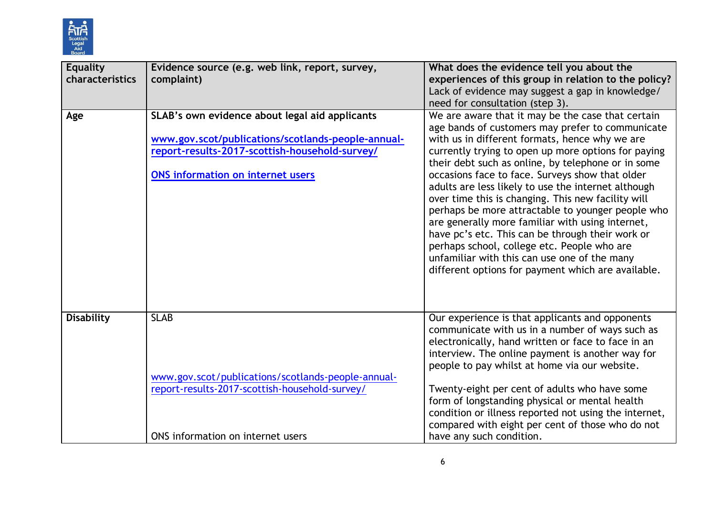

| <b>Equality</b><br>characteristics | Evidence source (e.g. web link, report, survey,<br>complaint)                                                                                                                               | What does the evidence tell you about the<br>experiences of this group in relation to the policy?<br>Lack of evidence may suggest a gap in knowledge/<br>need for consultation (step 3).                                                                                                                                                                                                                                                                                                                                                                                                                                                                                                                                                               |
|------------------------------------|---------------------------------------------------------------------------------------------------------------------------------------------------------------------------------------------|--------------------------------------------------------------------------------------------------------------------------------------------------------------------------------------------------------------------------------------------------------------------------------------------------------------------------------------------------------------------------------------------------------------------------------------------------------------------------------------------------------------------------------------------------------------------------------------------------------------------------------------------------------------------------------------------------------------------------------------------------------|
| Age                                | SLAB's own evidence about legal aid applicants<br>www.gov.scot/publications/scotlands-people-annual-<br>report-results-2017-scottish-household-survey/<br>ONS information on internet users | We are aware that it may be the case that certain<br>age bands of customers may prefer to communicate<br>with us in different formats, hence why we are<br>currently trying to open up more options for paying<br>their debt such as online, by telephone or in some<br>occasions face to face. Surveys show that older<br>adults are less likely to use the internet although<br>over time this is changing. This new facility will<br>perhaps be more attractable to younger people who<br>are generally more familiar with using internet,<br>have pc's etc. This can be through their work or<br>perhaps school, college etc. People who are<br>unfamiliar with this can use one of the many<br>different options for payment which are available. |
| <b>Disability</b>                  | <b>SLAB</b><br>www.gov.scot/publications/scotlands-people-annual-<br>report-results-2017-scottish-household-survey/<br>ONS information on internet users                                    | Our experience is that applicants and opponents<br>communicate with us in a number of ways such as<br>electronically, hand written or face to face in an<br>interview. The online payment is another way for<br>people to pay whilst at home via our website.<br>Twenty-eight per cent of adults who have some<br>form of longstanding physical or mental health<br>condition or illness reported not using the internet,<br>compared with eight per cent of those who do not<br>have any such condition.                                                                                                                                                                                                                                              |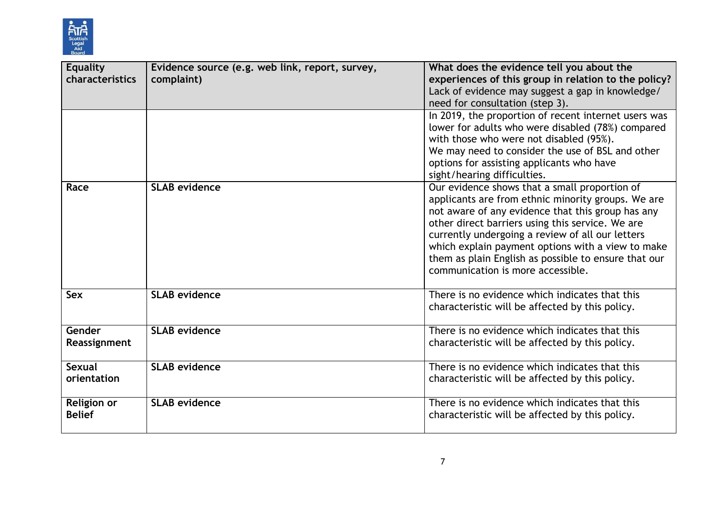

| <b>Equality</b><br>characteristics | Evidence source (e.g. web link, report, survey,<br>complaint) | What does the evidence tell you about the<br>experiences of this group in relation to the policy?<br>Lack of evidence may suggest a gap in knowledge/<br>need for consultation (step 3).<br>In 2019, the proportion of recent internet users was<br>lower for adults who were disabled (78%) compared<br>with those who were not disabled (95%).<br>We may need to consider the use of BSL and other<br>options for assisting applicants who have<br>sight/hearing difficulties. |
|------------------------------------|---------------------------------------------------------------|----------------------------------------------------------------------------------------------------------------------------------------------------------------------------------------------------------------------------------------------------------------------------------------------------------------------------------------------------------------------------------------------------------------------------------------------------------------------------------|
| Race                               | <b>SLAB</b> evidence                                          | Our evidence shows that a small proportion of<br>applicants are from ethnic minority groups. We are<br>not aware of any evidence that this group has any<br>other direct barriers using this service. We are<br>currently undergoing a review of all our letters<br>which explain payment options with a view to make<br>them as plain English as possible to ensure that our<br>communication is more accessible.                                                               |
| Sex                                | <b>SLAB evidence</b>                                          | There is no evidence which indicates that this<br>characteristic will be affected by this policy.                                                                                                                                                                                                                                                                                                                                                                                |
| Gender<br>Reassignment             | <b>SLAB</b> evidence                                          | There is no evidence which indicates that this<br>characteristic will be affected by this policy.                                                                                                                                                                                                                                                                                                                                                                                |
| Sexual<br>orientation              | <b>SLAB evidence</b>                                          | There is no evidence which indicates that this<br>characteristic will be affected by this policy.                                                                                                                                                                                                                                                                                                                                                                                |
| Religion or<br><b>Belief</b>       | <b>SLAB</b> evidence                                          | There is no evidence which indicates that this<br>characteristic will be affected by this policy.                                                                                                                                                                                                                                                                                                                                                                                |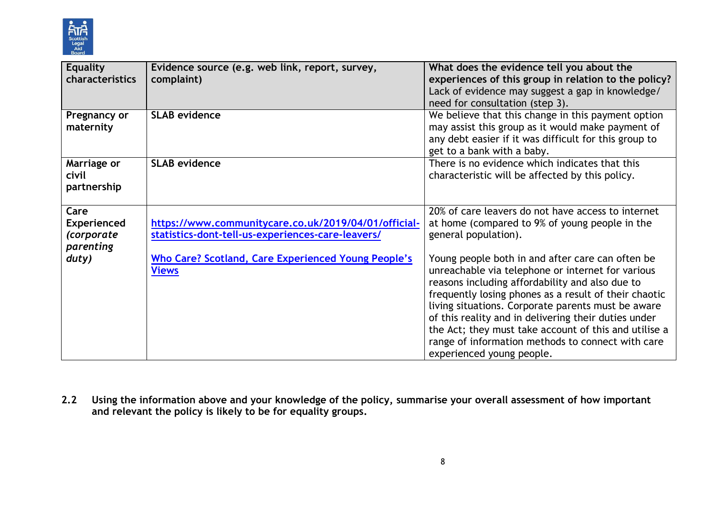

| <b>Equality</b><br>characteristics                    | Evidence source (e.g. web link, report, survey,<br>complaint)                                             | What does the evidence tell you about the<br>experiences of this group in relation to the policy?<br>Lack of evidence may suggest a gap in knowledge/<br>need for consultation (step 3).                                                                                                                                                                                                                                                                                   |
|-------------------------------------------------------|-----------------------------------------------------------------------------------------------------------|----------------------------------------------------------------------------------------------------------------------------------------------------------------------------------------------------------------------------------------------------------------------------------------------------------------------------------------------------------------------------------------------------------------------------------------------------------------------------|
| Pregnancy or<br>maternity                             | <b>SLAB evidence</b>                                                                                      | We believe that this change in this payment option<br>may assist this group as it would make payment of<br>any debt easier if it was difficult for this group to<br>get to a bank with a baby.                                                                                                                                                                                                                                                                             |
| Marriage or<br>civil<br>partnership                   | <b>SLAB evidence</b>                                                                                      | There is no evidence which indicates that this<br>characteristic will be affected by this policy.                                                                                                                                                                                                                                                                                                                                                                          |
| Care<br><b>Experienced</b><br>(corporate<br>parenting | https://www.communitycare.co.uk/2019/04/01/official-<br>statistics-dont-tell-us-experiences-care-leavers/ | 20% of care leavers do not have access to internet<br>at home (compared to 9% of young people in the<br>general population).                                                                                                                                                                                                                                                                                                                                               |
| duty)                                                 | Who Care? Scotland, Care Experienced Young People's<br><b>Views</b>                                       | Young people both in and after care can often be<br>unreachable via telephone or internet for various<br>reasons including affordability and also due to<br>frequently losing phones as a result of their chaotic<br>living situations. Corporate parents must be aware<br>of this reality and in delivering their duties under<br>the Act; they must take account of this and utilise a<br>range of information methods to connect with care<br>experienced young people. |

**2.2 Using the information above and your knowledge of the policy, summarise your overall assessment of how important and relevant the policy is likely to be for equality groups.**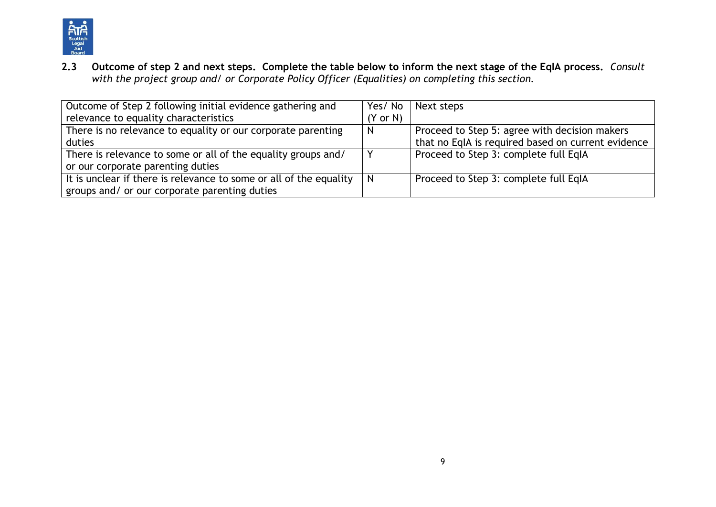

**2.3 Outcome of step 2 and next steps. Complete the table below to inform the next stage of the EqIA process.** *Consult with the project group and/ or Corporate Policy Officer (Equalities) on completing this section.*

| Outcome of Step 2 following initial evidence gathering and         | Yes/No              | Next steps                                         |
|--------------------------------------------------------------------|---------------------|----------------------------------------------------|
| relevance to equality characteristics                              | $(Y \text{ or } N)$ |                                                    |
| There is no relevance to equality or our corporate parenting       | N                   | Proceed to Step 5: agree with decision makers      |
| duties                                                             |                     | that no EqIA is required based on current evidence |
| There is relevance to some or all of the equality groups and/      |                     | Proceed to Step 3: complete full EqIA              |
| or our corporate parenting duties                                  |                     |                                                    |
| It is unclear if there is relevance to some or all of the equality | N                   | Proceed to Step 3: complete full EqIA              |
| groups and/ or our corporate parenting duties                      |                     |                                                    |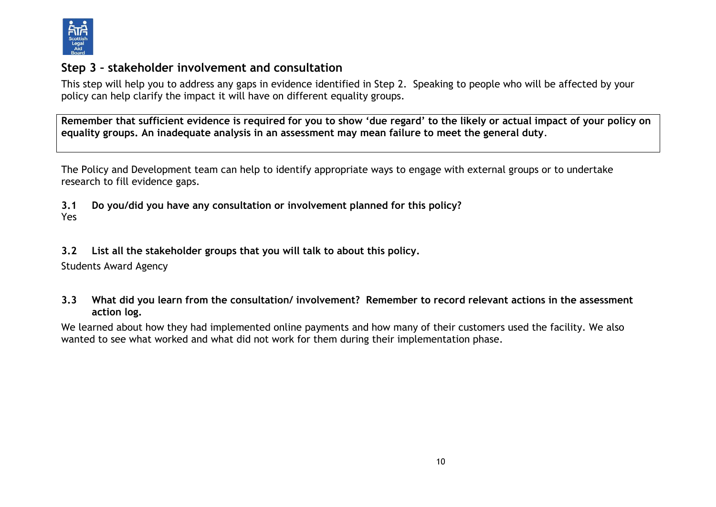

# **Step 3 – stakeholder involvement and consultation**

This step will help you to address any gaps in evidence identified in Step 2. Speaking to people who will be affected by your policy can help clarify the impact it will have on different equality groups.

**Remember that sufficient evidence is required for you to show 'due regard' to the likely or actual impact of your policy on equality groups. An inadequate analysis in an assessment may mean failure to meet the general duty**.

The Policy and Development team can help to identify appropriate ways to engage with external groups or to undertake research to fill evidence gaps.

**3.1 Do you/did you have any consultation or involvement planned for this policy?**  Yes

**3.2 List all the stakeholder groups that you will talk to about this policy.** 

Students Award Agency

**3.3 What did you learn from the consultation/ involvement? Remember to record relevant actions in the assessment action log.**

We learned about how they had implemented online payments and how many of their customers used the facility. We also wanted to see what worked and what did not work for them during their implementation phase.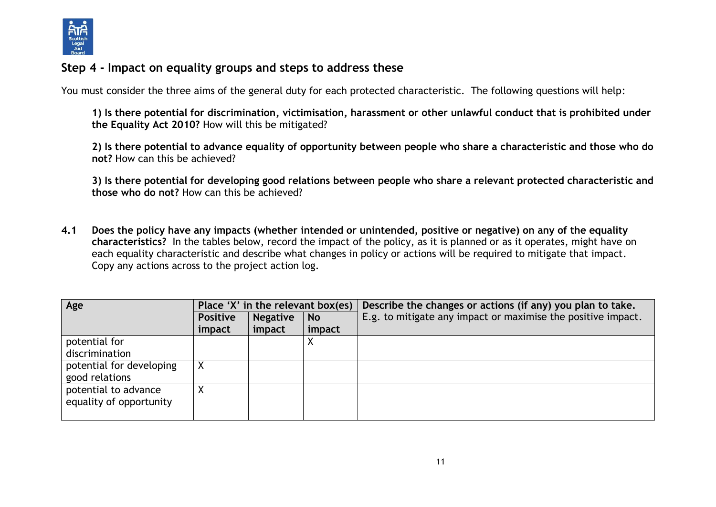

### **Step 4 - Impact on equality groups and steps to address these**

You must consider the three aims of the general duty for each protected characteristic. The following questions will help:

**1) Is there potential for discrimination, victimisation, harassment or other unlawful conduct that is prohibited under the Equality Act 2010?** How will this be mitigated?

**2) Is there potential to advance equality of opportunity between people who share a characteristic and those who do not?** How can this be achieved?

**3) Is there potential for developing good relations between people who share a relevant protected characteristic and those who do not?** How can this be achieved?

**4.1 Does the policy have any impacts (whether intended or unintended, positive or negative) on any of the equality characteristics?** In the tables below, record the impact of the policy, as it is planned or as it operates, might have on each equality characteristic and describe what changes in policy or actions will be required to mitigate that impact. Copy any actions across to the project action log.

| Age                      | Place 'X' in the relevant box(es) |                 |           | Describe the changes or actions (if any) you plan to take.   |
|--------------------------|-----------------------------------|-----------------|-----------|--------------------------------------------------------------|
|                          | <b>Positive</b>                   | <b>Negative</b> | <b>No</b> | E.g. to mitigate any impact or maximise the positive impact. |
|                          | impact                            | impact          | impact    |                                                              |
| potential for            |                                   |                 |           |                                                              |
| discrimination           |                                   |                 |           |                                                              |
| potential for developing |                                   |                 |           |                                                              |
| good relations           |                                   |                 |           |                                                              |
| potential to advance     |                                   |                 |           |                                                              |
| equality of opportunity  |                                   |                 |           |                                                              |
|                          |                                   |                 |           |                                                              |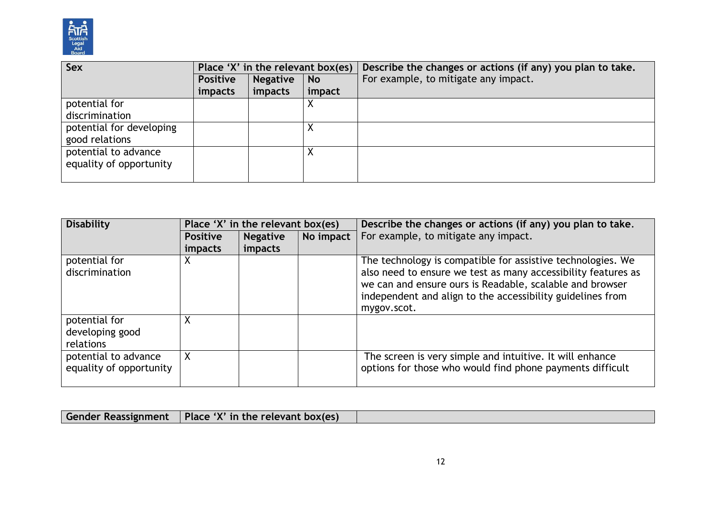

| Sex                      | Place 'X' in the relevant box(es) |                 |           | Describe the changes or actions (if any) you plan to take. |  |
|--------------------------|-----------------------------------|-----------------|-----------|------------------------------------------------------------|--|
|                          | <b>Positive</b>                   | <b>Negative</b> | <b>No</b> | For example, to mitigate any impact.                       |  |
|                          | impacts                           | impacts         | impact    |                                                            |  |
| potential for            |                                   |                 | ∧         |                                                            |  |
| discrimination           |                                   |                 |           |                                                            |  |
| potential for developing |                                   |                 |           |                                                            |  |
| good relations           |                                   |                 |           |                                                            |  |
| potential to advance     |                                   |                 |           |                                                            |  |
| equality of opportunity  |                                   |                 |           |                                                            |  |
|                          |                                   |                 |           |                                                            |  |

| <b>Disability</b>                               | Place 'X' in the relevant box(es) |                 |           | Describe the changes or actions (if any) you plan to take.                                                                                                                                                                                                            |
|-------------------------------------------------|-----------------------------------|-----------------|-----------|-----------------------------------------------------------------------------------------------------------------------------------------------------------------------------------------------------------------------------------------------------------------------|
|                                                 | <b>Positive</b>                   | <b>Negative</b> | No impact | For example, to mitigate any impact.                                                                                                                                                                                                                                  |
|                                                 | <i>impacts</i>                    | impacts         |           |                                                                                                                                                                                                                                                                       |
| potential for<br>discrimination                 | χ                                 |                 |           | The technology is compatible for assistive technologies. We<br>also need to ensure we test as many accessibility features as<br>we can and ensure ours is Readable, scalable and browser<br>independent and align to the accessibility guidelines from<br>mygov.scot. |
| potential for<br>developing good<br>relations   | χ                                 |                 |           |                                                                                                                                                                                                                                                                       |
| potential to advance<br>equality of opportunity | X.                                |                 |           | The screen is very simple and intuitive. It will enhance<br>options for those who would find phone payments difficult                                                                                                                                                 |

| <b>Gender Reassignment</b> | $\vert$ Place 'X' in the relevant box(es) |  |
|----------------------------|-------------------------------------------|--|
|                            |                                           |  |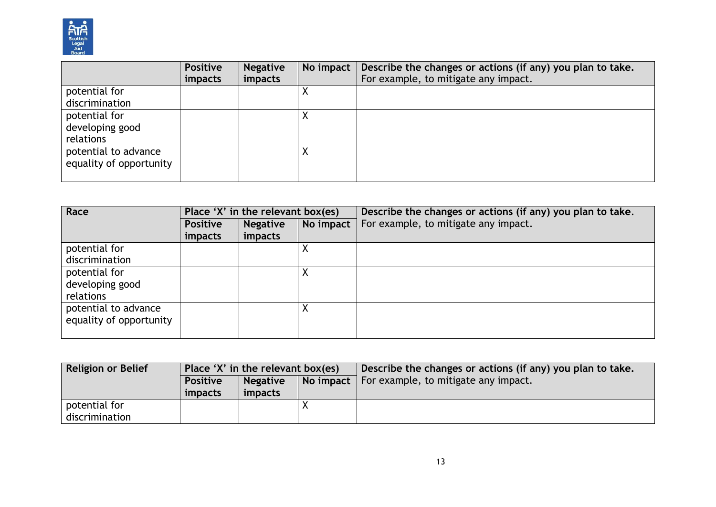

|                         | <b>Positive</b> | <b>Negative</b> | No impact | Describe the changes or actions (if any) you plan to take. |
|-------------------------|-----------------|-----------------|-----------|------------------------------------------------------------|
|                         | impacts         | impacts         |           | For example, to mitigate any impact.                       |
| potential for           |                 |                 |           |                                                            |
| discrimination          |                 |                 |           |                                                            |
| potential for           |                 |                 |           |                                                            |
| developing good         |                 |                 |           |                                                            |
| relations               |                 |                 |           |                                                            |
| potential to advance    |                 |                 |           |                                                            |
| equality of opportunity |                 |                 |           |                                                            |
|                         |                 |                 |           |                                                            |

| Race                    | Place 'X' in the relevant box(es) |                 |           | Describe the changes or actions (if any) you plan to take. |
|-------------------------|-----------------------------------|-----------------|-----------|------------------------------------------------------------|
|                         | <b>Positive</b>                   | <b>Negative</b> | No impact | For example, to mitigate any impact.                       |
|                         | impacts                           | impacts         |           |                                                            |
| potential for           |                                   |                 |           |                                                            |
| discrimination          |                                   |                 |           |                                                            |
| potential for           |                                   |                 |           |                                                            |
| developing good         |                                   |                 |           |                                                            |
| relations               |                                   |                 |           |                                                            |
| potential to advance    |                                   |                 |           |                                                            |
| equality of opportunity |                                   |                 |           |                                                            |
|                         |                                   |                 |           |                                                            |

| <b>Religion or Belief</b>       | Place 'X' in the relevant box(es) |                            |                | Describe the changes or actions (if any) you plan to take. |
|---------------------------------|-----------------------------------|----------------------------|----------------|------------------------------------------------------------|
|                                 | <b>Positive</b><br>impacts        | <b>Negative</b><br>impacts | No impact $\ $ | For example, to mitigate any impact.                       |
| potential for<br>discrimination |                                   |                            |                |                                                            |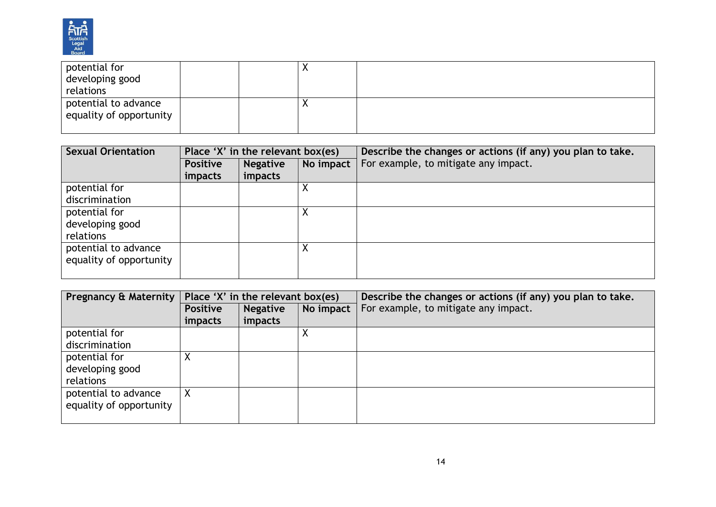

| potential for           |  | $\lambda$ |  |
|-------------------------|--|-----------|--|
| developing good         |  |           |  |
| relations               |  |           |  |
| potential to advance    |  | $\lambda$ |  |
| equality of opportunity |  |           |  |
|                         |  |           |  |

| <b>Sexual Orientation</b> | Place 'X' in the relevant box(es) |                 |           | Describe the changes or actions (if any) you plan to take. |  |
|---------------------------|-----------------------------------|-----------------|-----------|------------------------------------------------------------|--|
|                           | <b>Positive</b>                   | <b>Negative</b> | No impact | For example, to mitigate any impact.                       |  |
|                           | <i>impacts</i>                    | impacts         |           |                                                            |  |
| potential for             |                                   |                 |           |                                                            |  |
| discrimination            |                                   |                 |           |                                                            |  |
| potential for             |                                   |                 | Χ         |                                                            |  |
| developing good           |                                   |                 |           |                                                            |  |
| relations                 |                                   |                 |           |                                                            |  |
| potential to advance      |                                   |                 |           |                                                            |  |
| equality of opportunity   |                                   |                 |           |                                                            |  |
|                           |                                   |                 |           |                                                            |  |

| <b>Pregnancy &amp; Maternity</b> | Place 'X' in the relevant box(es) |                 |           | Describe the changes or actions (if any) you plan to take. |  |
|----------------------------------|-----------------------------------|-----------------|-----------|------------------------------------------------------------|--|
|                                  | Positive                          | <b>Negative</b> | No impact | For example, to mitigate any impact.                       |  |
|                                  | <i>impacts</i>                    | impacts         |           |                                                            |  |
| potential for                    |                                   |                 |           |                                                            |  |
| discrimination                   |                                   |                 |           |                                                            |  |
| potential for                    |                                   |                 |           |                                                            |  |
| developing good                  |                                   |                 |           |                                                            |  |
| relations                        |                                   |                 |           |                                                            |  |
| potential to advance             | X                                 |                 |           |                                                            |  |
| equality of opportunity          |                                   |                 |           |                                                            |  |
|                                  |                                   |                 |           |                                                            |  |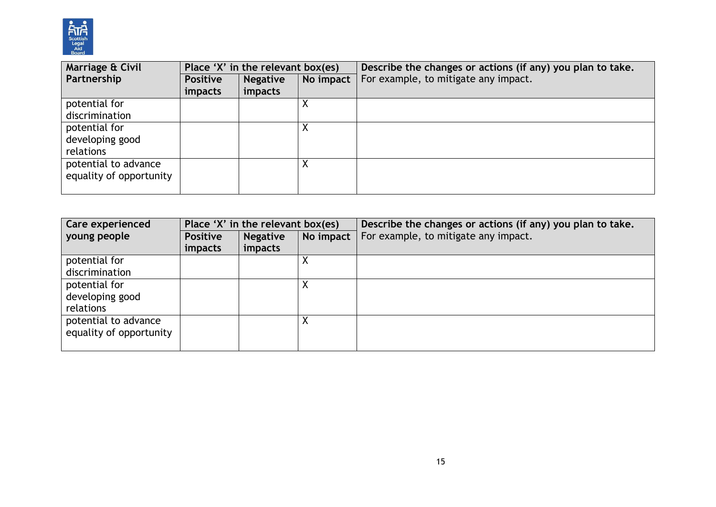

| Marriage & Civil        | Place 'X' in the relevant box(es) |                 |           | Describe the changes or actions (if any) you plan to take. |  |
|-------------------------|-----------------------------------|-----------------|-----------|------------------------------------------------------------|--|
| Partnership             | <b>Positive</b>                   | <b>Negative</b> | No impact | For example, to mitigate any impact.                       |  |
|                         | <i>impacts</i>                    | impacts         |           |                                                            |  |
| potential for           |                                   |                 |           |                                                            |  |
| discrimination          |                                   |                 |           |                                                            |  |
| potential for           |                                   |                 |           |                                                            |  |
| developing good         |                                   |                 |           |                                                            |  |
| relations               |                                   |                 |           |                                                            |  |
| potential to advance    |                                   |                 |           |                                                            |  |
| equality of opportunity |                                   |                 |           |                                                            |  |
|                         |                                   |                 |           |                                                            |  |

| <b>Care experienced</b> | Place 'X' in the relevant box(es) |                 |           | Describe the changes or actions (if any) you plan to take. |  |
|-------------------------|-----------------------------------|-----------------|-----------|------------------------------------------------------------|--|
| young people            | <b>Positive</b>                   | <b>Negative</b> | No impact | For example, to mitigate any impact.                       |  |
|                         | <i>impacts</i>                    | impacts         |           |                                                            |  |
| potential for           |                                   |                 |           |                                                            |  |
| discrimination          |                                   |                 |           |                                                            |  |
| potential for           |                                   |                 |           |                                                            |  |
| developing good         |                                   |                 |           |                                                            |  |
| relations               |                                   |                 |           |                                                            |  |
| potential to advance    |                                   |                 | ∧         |                                                            |  |
| equality of opportunity |                                   |                 |           |                                                            |  |
|                         |                                   |                 |           |                                                            |  |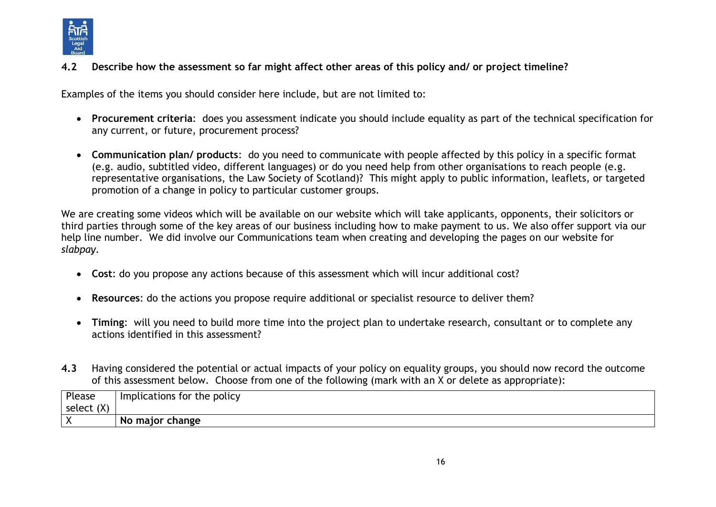

#### **4.2 Describe how the assessment so far might affect other areas of this policy and/ or project timeline?**

Examples of the items you should consider here include, but are not limited to:

- **Procurement criteria**: does you assessment indicate you should include equality as part of the technical specification for any current, or future, procurement process?
- **Communication plan/ products**: do you need to communicate with people affected by this policy in a specific format (e.g. audio, subtitled video, different languages) or do you need help from other organisations to reach people (e.g. representative organisations, the Law Society of Scotland)? This might apply to public information, leaflets, or targeted promotion of a change in policy to particular customer groups.

We are creating some videos which will be available on our website which will take applicants, opponents, their solicitors or third parties through some of the key areas of our business including how to make payment to us. We also offer support via our help line number. We did involve our Communications team when creating and developing the pages on our website for *slabpay.*

- **Cost**: do you propose any actions because of this assessment which will incur additional cost?
- **Resources**: do the actions you propose require additional or specialist resource to deliver them?
- **Timing**: will you need to build more time into the project plan to undertake research, consultant or to complete any actions identified in this assessment?
- **4.3** Having considered the potential or actual impacts of your policy on equality groups, you should now record the outcome of this assessment below. Choose from one of the following (mark with an X or delete as appropriate):

| Please     | Implications for the policy |
|------------|-----------------------------|
| select (X) |                             |
|            | No major change             |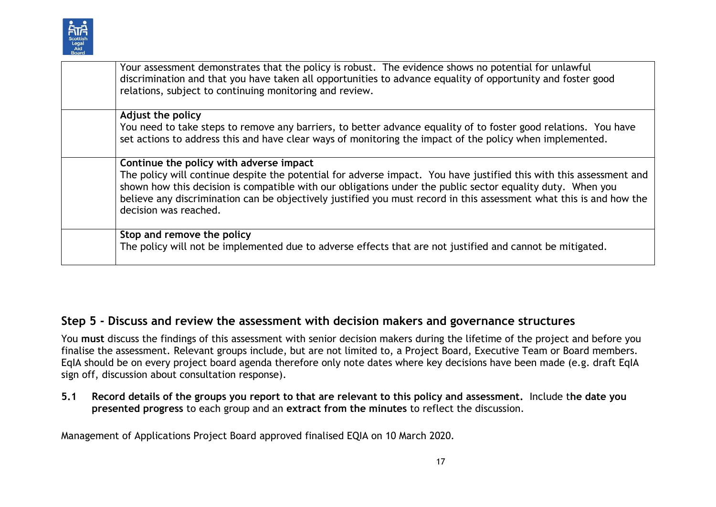

| Your assessment demonstrates that the policy is robust. The evidence shows no potential for unlawful<br>discrimination and that you have taken all opportunities to advance equality of opportunity and foster good<br>relations, subject to continuing monitoring and review.                                                                                                                                               |
|------------------------------------------------------------------------------------------------------------------------------------------------------------------------------------------------------------------------------------------------------------------------------------------------------------------------------------------------------------------------------------------------------------------------------|
| Adjust the policy<br>You need to take steps to remove any barriers, to better advance equality of to foster good relations. You have<br>set actions to address this and have clear ways of monitoring the impact of the policy when implemented.                                                                                                                                                                             |
| Continue the policy with adverse impact<br>The policy will continue despite the potential for adverse impact. You have justified this with this assessment and<br>shown how this decision is compatible with our obligations under the public sector equality duty. When you<br>believe any discrimination can be objectively justified you must record in this assessment what this is and how the<br>decision was reached. |
| Stop and remove the policy<br>The policy will not be implemented due to adverse effects that are not justified and cannot be mitigated.                                                                                                                                                                                                                                                                                      |

# **Step 5 - Discuss and review the assessment with decision makers and governance structures**

You **must** discuss the findings of this assessment with senior decision makers during the lifetime of the project and before you finalise the assessment. Relevant groups include, but are not limited to, a Project Board, Executive Team or Board members. EqIA should be on every project board agenda therefore only note dates where key decisions have been made (e.g. draft EqIA sign off, discussion about consultation response).

**5.1 Record details of the groups you report to that are relevant to this policy and assessment.** Include t**he date you presented progress** to each group and an **extract from the minutes** to reflect the discussion.

Management of Applications Project Board approved finalised EQIA on 10 March 2020.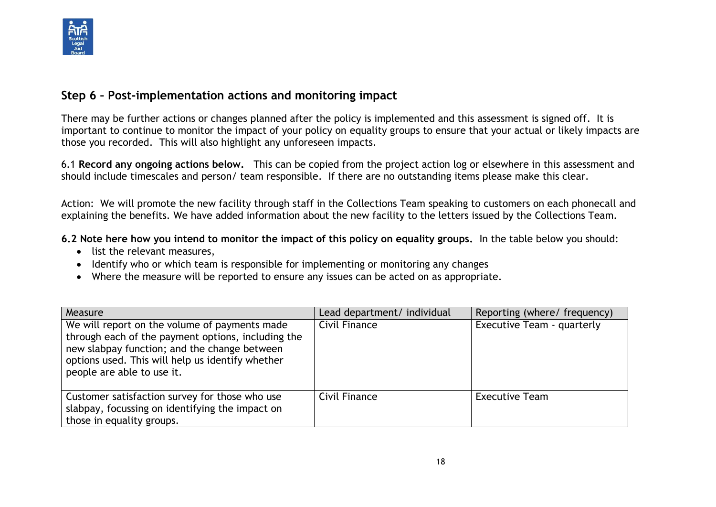

### **Step 6 – Post-implementation actions and monitoring impact**

There may be further actions or changes planned after the policy is implemented and this assessment is signed off. It is important to continue to monitor the impact of your policy on equality groups to ensure that your actual or likely impacts are those you recorded. This will also highlight any unforeseen impacts.

6.1 **Record any ongoing actions below.** This can be copied from the project action log or elsewhere in this assessment and should include timescales and person/ team responsible.If there are no outstanding items please make this clear.

Action: We will promote the new facility through staff in the Collections Team speaking to customers on each phonecall and explaining the benefits. We have added information about the new facility to the letters issued by the Collections Team.

**6.2 Note here how you intend to monitor the impact of this policy on equality groups.** In the table below you should:

- list the relevant measures,
- Identify who or which team is responsible for implementing or monitoring any changes
- Where the measure will be reported to ensure any issues can be acted on as appropriate.

| Measure                                                                                                                                                                                                                               | Lead department/ individual | Reporting (where/ frequency) |
|---------------------------------------------------------------------------------------------------------------------------------------------------------------------------------------------------------------------------------------|-----------------------------|------------------------------|
| We will report on the volume of payments made<br>through each of the payment options, including the<br>new slabpay function; and the change between<br>options used. This will help us identify whether<br>people are able to use it. | Civil Finance               | Executive Team - quarterly   |
| Customer satisfaction survey for those who use<br>slabpay, focussing on identifying the impact on<br>those in equality groups.                                                                                                        | Civil Finance               | <b>Executive Team</b>        |